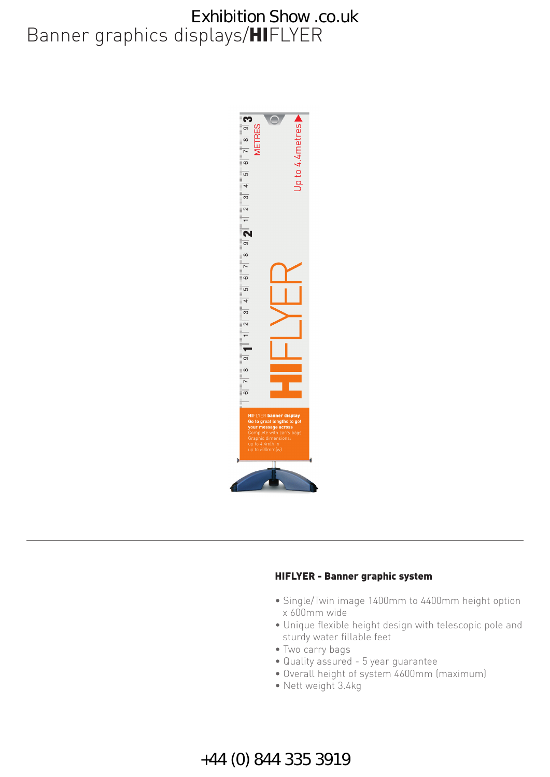# Banner graphics displays/**HI**FLYER Exhibition Show .co.uk



#### **HIFLYER - Banner graphic system**

- Single/Twin image 1400mm to 4400mm height option x 600mm wide
- Unique flexible height design with telescopic pole and sturdy water fillable feet
- Two carry bags
- Quality assured 5 year guarantee
- Overall height of system 4600mm (maximum)
- Nett weight 3.4kg

### +44 (0) 844 335 3919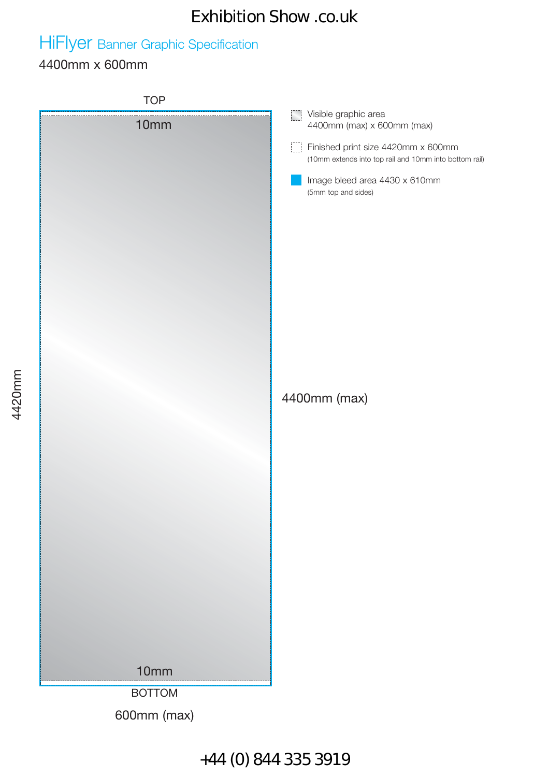### Exhibition Show .co.uk

# HiFlyer Banner Graphic Specification

### 4400mm x 600mm

**TOP Visible graphic area** 10mm 4400mm (max) x 600mm (max) Finished print size 4420mm x 600mm (10mm extends into top rail and 10mm into bottom rail) Image bleed area 4430 x 610mm (5mm top and sides) 4400mm (max) 10mm BOTTOM 600mm (max)

### +44 (0) 844 335 3919